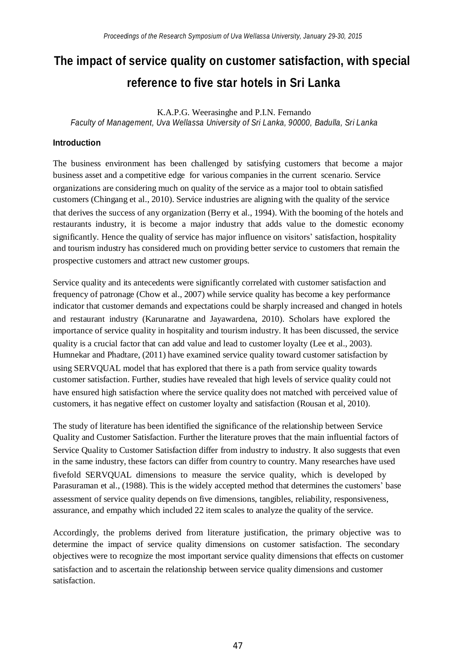# **The impact of service quality on customer satisfaction, with special reference to five star hotels in Sri Lanka**

K.A.P.G. Weerasinghe and P.I.N. Fernando *Faculty of Management, Uva Wellassa University of Sri Lanka, 90000, Badulla, Sri Lanka*

### **Introduction**

The business environment has been challenged by satisfying customers that become a major business asset and a competitive edge for various companies in the current scenario. Service organizations are considering much on quality of the service as a major tool to obtain satisfied customers (Chingang et al., 2010). Service industries are aligning with the quality of the service that derives the success of any organization (Berry et al., 1994). With the booming of the hotels and restaurants industry, it is become a major industry that adds value to the domestic economy significantly. Hence the quality of service has major influence on visitors' satisfaction, hospitality and tourism industry has considered much on providing better service to customers that remain the prospective customers and attract new customer groups.

Service quality and its antecedents were significantly correlated with customer satisfaction and frequency of patronage (Chow et al., 2007) while service quality has become a key performance indicator that customer demands and expectations could be sharply increased and changed in hotels and restaurant industry (Karunaratne and Jayawardena, 2010). Scholars have explored the importance of service quality in hospitality and tourism industry. It has been discussed, the service quality is a crucial factor that can add value and lead to customer loyalty (Lee et al., 2003). Humnekar and Phadtare, (2011) have examined service quality toward customer satisfaction by using SERVQUAL model that has explored that there is a path from service quality towards customer satisfaction. Further, studies have revealed that high levels of service quality could not have ensured high satisfaction where the service quality does not matched with perceived value of customers, it has negative effect on customer loyalty and satisfaction (Rousan et al, 2010).

The study of literature has been identified the significance of the relationship between Service Quality and Customer Satisfaction. Further the literature proves that the main influential factors of Service Quality to Customer Satisfaction differ from industry to industry. It also suggests that even in the same industry, these factors can differ from country to country. Many researches have used fivefold SERVQUAL dimensions to measure the service quality, which is developed by Parasuraman et al., (1988). This is the widely accepted method that determines the customers' base assessment of service quality depends on five dimensions, tangibles, reliability, responsiveness, assurance, and empathy which included 22 item scales to analyze the quality of the service.

Accordingly, the problems derived from literature justification, the primary objective was to determine the impact of service quality dimensions on customer satisfaction. The secondary objectives were to recognize the most important service quality dimensions that effects on customer satisfaction and to ascertain the relationship between service quality dimensions and customer satisfaction.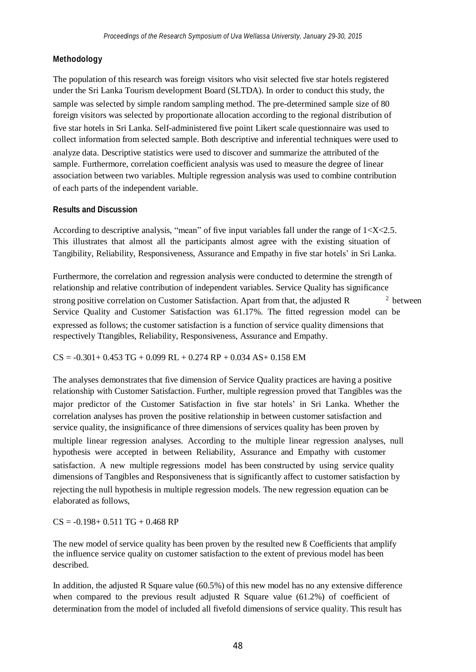## **Methodology**

The population of this research was foreign visitors who visit selected five star hotels registered under the Sri Lanka Tourism development Board (SLTDA). In order to conduct this study, the sample was selected by simple random sampling method. The pre-determined sample size of 80 foreign visitors was selected by proportionate allocation according to the regional distribution of five star hotels in Sri Lanka. Self-administered five point Likert scale questionnaire was used to collect information from selected sample. Both descriptive and inferential techniques were used to analyze data. Descriptive statistics were used to discover and summarize the attributed of the sample. Furthermore, correlation coefficient analysis was used to measure the degree of linear association between two variables. Multiple regression analysis was used to combine contribution of each parts of the independent variable.

#### **Results and Discussion**

According to descriptive analysis, "mean" of five input variables fall under the range of  $1 < X < 2.5$ . This illustrates that almost all the participants almost agree with the existing situation of Tangibility, Reliability, Responsiveness, Assurance and Empathy in five star hotels' in Sri Lanka.

strong positive correlation on Customer Satisfaction. Apart from that, the adjusted R <sup>2</sup> Furthermore, the correlation and regression analysis were conducted to determine the strength of relationship and relative contribution of independent variables. Service Quality has significance <sup>2</sup> between Service Quality and Customer Satisfaction was 61.17%. The fitted regression model can be expressed as follows; the customer satisfaction is a function of service quality dimensions that respectively Ttangibles, Reliability, Responsiveness, Assurance and Empathy.

 $CS = -0.301 + 0.453$  TG + 0.099 RL + 0.274 RP + 0.034 AS + 0.158 EM

The analyses demonstrates that five dimension of Service Quality practices are having a positive relationship with Customer Satisfaction. Further, multiple regression proved that Tangibles was the major predictor of the Customer Satisfaction in five star hotels' in Sri Lanka. Whether the correlation analyses has proven the positive relationship in between customer satisfaction and service quality, the insignificance of three dimensions of services quality has been proven by multiple linear regression analyses. According to the multiple linear regression analyses, null hypothesis were accepted in between Reliability, Assurance and Empathy with customer satisfaction. A new multiple regressions model has been constructed by using service quality dimensions of Tangibles and Responsiveness that is significantly affect to customer satisfaction by rejecting the null hypothesis in multiple regression models. The new regression equation can be elaborated as follows,

 $CS = -0.198 + 0.511$  TG + 0.468 RP

The new model of service quality has been proven by the resulted new ß Coefficients that amplify the influence service quality on customer satisfaction to the extent of previous model has been described.

In addition, the adjusted R Square value (60.5%) of this new model has no any extensive difference when compared to the previous result adjusted R Square value (61.2%) of coefficient of determination from the model of included all fivefold dimensions of service quality. This result has